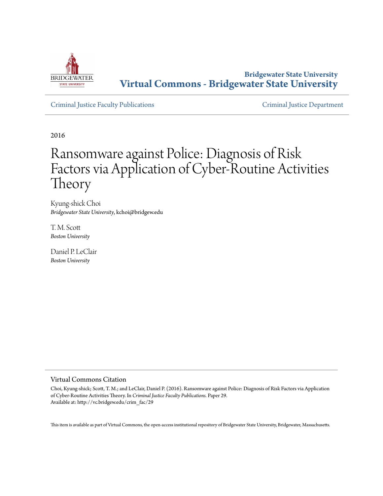

**Bridgewater State University [Virtual Commons - Bridgewater State University](http://vc.bridgew.edu)**

[Criminal Justice Faculty Publications](http://vc.bridgew.edu/crim_fac) [Criminal Justice Department](http://vc.bridgew.edu/crim)

2016

# Ransomware against Police: Diagnosis of Risk Factors via Application of Cyber-Routine Activities Theory

Kyung-shick Choi *Bridgewater State University*, kchoi@bridgew.edu

T. M. Scott *Boston University*

Daniel P. LeClair *Boston University*

## Virtual Commons Citation

Choi, Kyung-shick; Scott, T. M.; and LeClair, Daniel P. (2016). Ransomware against Police: Diagnosis of Risk Factors via Application of Cyber-Routine Activities Theory. In *Criminal Justice Faculty Publications.* Paper 29. Available at: http://vc.bridgew.edu/crim\_fac/29

This item is available as part of Virtual Commons, the open-access institutional repository of Bridgewater State University, Bridgewater, Massachusetts.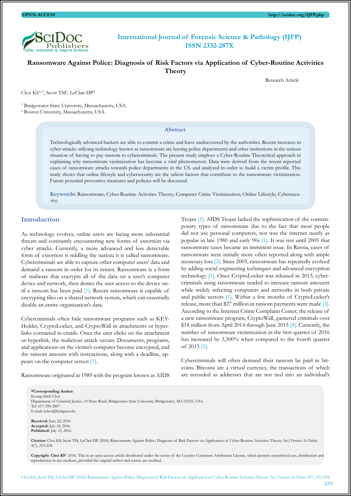

# **International Journal of Forensic Science & Pathology (IJFP) ISSN 2332-287X**

# **Ransomware Against Police: Diagnosis of Risk Factors via Application of Cyber-Routine Activities Theory**

Choi KS<sup>1,2\*</sup>, Scott TM<sup>2</sup>, LeClair DP<sup>2</sup>

<sup>1</sup> Bridgewater State University, Massachusetts, USA.

2 Boston University, Massachusetts, USA.

#### **Abstract**

Technologically advanced hackers are able to commit a crime and leave undiscovered by the authorities. Recent increases in cyber-attacks utilizing technology known as ransomware are leaving police departments and other institutions in the serious situation of having to pay ransom to cybercriminals. The present study employs a Cyber-Routine Theoretical approach in explaining why ransomware victimization has become a viral phenomenon. Data were derived from the recent reported cases of ransomware attacks towards police departments in the US. and analyzed in order to build a victim profile. This study shows that online lifestyle and cybersecurity are the salient factors that contribute to the ransomware victimization. Future potential preventive measures and policies will be discussed.

**Keywords:** Ransomware; Cyber-Routine Activities Theory; Computer Crime Victimization; Online Lifestyle; Cybersecurity.

#### **Introduction**

As technology evolves, online users are facing more substantial threats and constantly encountering new forms of extortion via cyber attacks. Currently, a more advanced and less detectable form of extortion is riddling the nation; it is called ransomware. Cybercriminals are able to capture other computer users' data and demand a ransom in order for its return. Ransomware is a form of malware that encrypts all of the data on a user's computer device and network, then denies the user access to the device until a ransom has been paid [\[1\]](#page-6-0). Recent ransomware is capable of encrypting files on a shared network system, which can essentially disable an entire organization's data.

Cybercriminals often hide ransomware programs such as KEY-Holder, CryptoLocker, and CryptoWall in attachments or hyperlinks contained in emails. Once the user clicks on the attachment or hyperlink, the malicious attack occurs. Documents, programs, and applications on the victim's computer become encrypted, and the ransom amount with instructions, along with a deadline, appears on the computer screen [\[1\]](#page-6-0).

Ransomware originated in 1989 with the program known as AIDS

Trojan [\[1\].](#page-6-0) AIDS Trojan lacked the sophistication of the contemporary types of ransomware due to the fact that most people did not use personal computers, nor was the internet nearly as popular in late 1980 and early 90s [\[1\].](#page-6-0) It was not until 2005 that ransomware cases became an imminent issue. In Russia, cases of ransomware were initially more often reported along with ample monetary loss [\[2\].](#page-6-1) Since 2005, ransomware has repeatedly evolved by adding social engineering techniques and advanced encryption technology [\[1\]](#page-6-0). Once CryptoLocker was released in 2013, cybercriminals using ransomware tended to increase ransom amounts while widely infecting computers and networks in both private and public sectors [\[1\]](#page-6-0). Within a few months of CryptoLocker's release, more than \$27 million in ransom payments were made [\[3\]](#page-6-2). According to the Internet Crime Complaint Center, the release of a new ransomware program, CryptoWall, garnered criminals over \$18 million from April 2014 through June 2015 [\[4\]](#page-6-3). Currently, the number of ransomware victimization in the first quarter of 2016 has increased by 3,500% when compared to the fourth quarter of 2015 [\[5\]](#page-6-4).

Cybercriminals will often demand their ransom be paid in bitcoins. Bitcoins are a virtual currency, the transactions of which are recorded as addresses that are not tied into an individual's

**\*Corresponding Author**: Kyung-shick Choi Department of Criminal Justice, 10 Shaw Road, Bridgewater State University, Bridgewater, MA 02325, USA. Tel: 617-358-2807 E-mail: kchoi@bridgew.edu  **Received:** June 22, 2016

 **Accepted:** July 18, 2016  **Published:** July 23, 2016

 **Citation:** Choi KS, Scott TM, LeClair DP (2016) Ransomware Against Police: Diagnosis of Risk Factors via Application of Cyber-Routine Activities Theory. *Int J Forensic Sci Pathol*. 4(7), 253-258.

 **Copyright: Choi KS**© 2016**.** This is an open-access article distributed under the terms of the Creative Commons Attribution License, which permits unrestricted use, distribution and reproduction in any medium, provided the original author and source are credited.

Research Article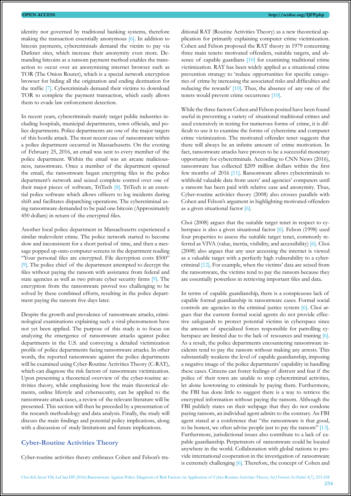identity nor governed by traditional banking systems, therefore making the transaction essentially anonymous [\[6\]](#page-6-5). In addition to bitcoin payments, cybercriminals demand the victim to pay via Darknet sites, which increase their anonymity even more. Demanding bitcoins as a ransom payment method enables the transaction to occur over an anonymizing internet browser such as TOR (The Onion Router), which is a special network encryption browser for hiding all the origination and ending destination for the traffic [\[7\]](#page-6-6). Cybercriminals demand their victims to download TOR to complete the payment transaction, which easily allows them to evade law enforcement detection.

In recent years, cybercriminals mainly target public industries including hospitals, municipal departments, town officials, and police departments. Police departments are one of the major targets of this hostile attack. The most recent case of ransomware within a police department occurred in Massachusetts. On the evening of February 25, 2016, an email was sent to every member of the police department. Within the email was an arcane maliciousness, ransomware. Once a member of the department opened the email, the ransomware began encrypting files in the police department's network and seized complete control over one of their major pieces of software, TriTech [\[8\].](#page-6-7) TriTech is an essential police software which allows officers to log incidents during shift and facilitates dispatching operations. The cybercriminal using ransomware demanded to be paid one bitcoin (Approximately 450 dollars) in return of the encrypted files.

Another local police department in Massachusetts experienced a similar malevolent crime. The police network started to become slow and inconsistent for a short period of time, and then a message popped up onto computer screens in the department reading "Your personal files are encrypted. File decryption costs \$500" [\[9\]](#page-6-8). The police chief of the department attempted to decrypt the files without paying the ransom with assistance from federal and state agencies as well as two private cyber security firms [\[9\]](#page-6-8). The encryption from the ransomware proved too challenging to be solved by these combined efforts, resulting in the police department paying the ransom five days later.

Despite the growth and prevalence of ransomware attacks, criminological examinations explaining such a viral-phenomenon have not yet been applied. The purpose of this study is to focus on analyzing the emergence of ransomware attacks against police departments in the U.S. and conveying a detailed victimization profile of police departments facing ransomware attacks. In other words, the reported ransomware against the police departments will be examined using Cyber-Routine Activities Theory (C-RAT), which can diagnose the risk factors of ransomware victimization. Upon presenting a theoretical overview of the cyber-routine activities theory, while emphasizing how the main theoretical elements, online lifestyle and cybersecurity, can be applied to the ransomware attack cases, a review of the relevant literature will be presented. This section will then be preceded by a presentation of the research methodology and data analysis. Finally, the study will discuss the main findings and potential policy implications, along with a discussion of study limitations and future implications.

# **Cyber-Routine Activities Theory**

Cyber-routine activities theory embraces Cohen and Felson's tra-

ditional RAT (Routine Activities Theory) as a new theoretical application for primarily explaining computer crime victimization. Cohen and Felson proposed the RAT theory in 1979 concerning three main tenets: motivated offenders, suitable targets, and absence of capable guardians [\[10\]](#page-6-9) for examining traditional crime victimization. RAT has been widely applied as a situational crime prevention strategy to 'reduce opportunities for specific categories of crime by increasing the associated risks and difficulties and reducing the rewards' [\[10\]](#page-6-9). Thus, the absence of any one of the tenets would prevent crime occurrence [\[10\]](#page-6-9).

While the three factors Cohen and Felson posited have been found useful in preventing a variety of situational traditional crimes and used extensively in testing for numerous forms of crime, it is difficult to use it to examine the forms of cybercrime and computer crime victimization. The motivated offender tenet suggests that there will always be an infinite amount of crime motivation. In fact, ransomware attacks have proven to be a successful monetary opportunity for cybercriminals. According to CNN News (2016), ransomware has collected \$209 million dollars within the first few months of 2016 [\[11\].](#page-6-10) Ransomware allows cybercriminals to withhold valuable data from users' and agencies' computers until a ransom has been paid with relative ease and anonymity. Thus, Cyber-routine activities theory (2008) also crosses parallels with Cohen and Felson's argument in highlighting motivated offenders as a given situational factor [\[6\]](#page-6-5).

Choi (2008) argues that the suitable target tenet in respect to cyberspace is also a given situational factor [\[6\]](#page-6-5). Felson (1998) used four properties to assess the suitable target tenet, commonly referred as VIVA (value, inertia, visibility, and accessibility) [\[6\]](#page-6-5). Choi (2008) also argues that any user accessing the internet is viewed as a valuable target with a perfectly high vulnerability to a cybercriminal [\[12\]](#page-6-11). For example, when the victims' data are seized from the ransomware, the victims tend to pay the ransom because they are essentially powerless in retrieving important files and data.

In terms of capable guardianship, there is a conspicuous lack of capable formal guardianship in ransomware cases. Formal social controls are agencies in the criminal justice system [\[6\]](#page-6-5). Choi argues that the current formal social agents do not provide effective safeguards to protect potential victims in cyberspace since the amount of specialized forces responsible for patrolling cyberspace are limited due to the lack of resources and training [\[6\]](#page-6-5). As a result, the police departments encountering ransomware incidents tend to pay the ransom without making any arrests. This substantially weakens the level of capable guardianship, imposing a negative image of the police departments' capability in handling these cases. Citizens can foster feelings of distrust and fear if the police of their town are unable to stop cybercriminal activities, let alone kowtowing to criminals by paying them. Furthermore, the FBI has done little to suggest there is a way to retrieve the encrypted information without paying the ransom. Although the FBI publicly states on their webpage that they do not condone paying ransom, an individual agent admits to the contrary. An FBI agent stated at a conference that "the ransomware is that good, to be honest, we often advise people just to pay the ransom" [\[13\]](#page-6-12). Furthermore, jurisdictional issues also contribute to a lack of capable guardianship. Perpetrators of ransomware could be located anywhere in the world. Collaboration with global nations to provide international cooperation in the investigation of ransomware is extremely challenging [\[6\]](#page-6-5). Therefore, the concept of Cohen and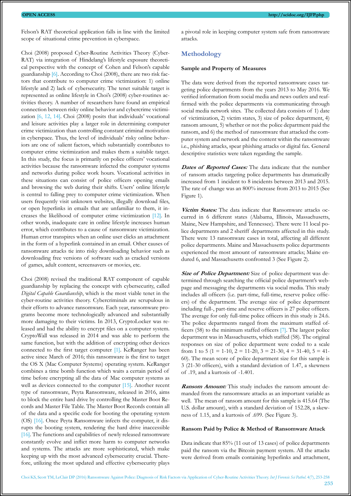Felson's RAT theoretical application falls in line with the limited scope of situational crime prevention in cyberspace.

Choi (2008) proposed Cyber-Routine Activities Theory (Cyber-RAT) via integration of Hindelang's lifestyle exposure theoretical perspective with the concept of Cohen and Felson's capable guardianship [\[6\].](#page-6-5) According to Choi (2008), there are two risk factors that contribute to computer crime victimization: 1) online lifestyle and 2) lack of cybersecurity. The tenet suitable target is represented as online lifestyle in Choi's (2008) cyber-routines activities theory. A number of researchers have found an empirical connection between risky online behavior and cybercrime victimization [\[6](#page-6-5), [12,](#page-6-11) [14\]](#page-6-13). Choi (2008) posits that individuals' vocational and leisure activities play a larger role in determining computer crime victimization than controlling constant criminal motivation in cyberspace. Thus, the level of individuals' risky online behaviors are one of salient factors, which substantially contributes to computer crime victimization and makes them a suitable target. In this study, the focus is primarily on police officers' vocational activities because the ransomware infected the computer systems and networks during police work hours. Vocational activities in these situations can consist of police officers opening emails and browsing the web during their shifts. Users' online lifestyle is central to falling prey to computer crime victimization. When users frequently visit unknown websites, illegally download files, or open hyperlinks in emails that are unfamiliar to them, it increases the likelihood of computer crime victimization [\[12\]](#page-6-11). In other words, inadequate care in online lifestyle increases human error, which contributes to a cause of ransomware victimization. Human error transpires when an online user clicks an attachment in the form of a hyperlink contained in an email. Other causes of ransomware attacks tie into risky downloading behavior such as downloading free versions of software such as cracked versions of games, adult content, screensavers or movies, etc.

Choi (2008) revised the traditional RAT component of capable guardianship by replacing the concept with cybersecurity, called *Digital Capable Guardianship*, which is the most viable tenet in the cyber-routine activities theory. Cybercriminals are scrupulous in their efforts to advance ransomware. Each year, ransomware programs become more technologically advanced and substantially more damaging to their victims. In 2013, CryptoLocker was released and had the ability to encrypt files on a computer system. CryptoWall was released in 2014 and was able to perform the same function, but with the addition of encrypting other devices connected to the first target computer [\[1\].](#page-6-0) KeRanger has been active since March of 2016; this ransomware is the first to target the OS X (Mac Computer Systems) operating system. KeRanger combines a time bomb function which waits a certain period of time before encrypting all the data of Mac computer systems as well as devices connected to the computer [\[15\].](#page-6-14) Another recent type of ransomware, Peyta Ransomware, released in 2016, aims to block the entire hard drive by controlling the Master Boot Records and Master File Table. The Master Boot Records contain all of the data and a specific code for booting the operating system (OS) [\[16\]](#page-6-15). Once Peyta Ransomware infects the computer, it disrupts the booting system, rendering the hard drive inaccessible [\[16\]](#page-6-15). The functions and capabilities of newly released ransomware constantly evolve and inflict more harm to computer networks and systems. The attacks are more sophisticated, which make keeping up with the most advanced cybersecurity crucial. Therefore, utilizing the most updated and effective cybersecurity plays

a pivotal role in keeping computer system safe from ransomware attacks.

# **Methodology**

#### **Sample and Property of Measures**

The data were derived from the reported ransomware cases targeting police departments from the years 2013 to May 2016. We verified information from social media and news outlets and reaffirmed with the police departments via communicating through social media network sites. The collected data consists of 1) date of victimization, 2) victim states, 3) size of police department, 4) ransom amount, 5) whether or not the police department paid the ransom, and 6) the method of ransomware that attacked the computer system and network and the content within the ransomware i.e., phishing attacks, spear phishing attacks or digital fax. General descriptive statistics were taken regarding the sample.

**Dates of Reported Cases:** The data indicate that the number of ransom attacks targeting police departments has dramatically increased from 1 incident to 8 incidents between 2013 and 2015. The rate of change was an 800% increase from 2013 to 2015 (See Figure 1).

**Victim States:** The data indicate that Ransomware attacks occurred in 6 different states (Alabama, Illinois, Massachusetts, Maine, New Hampshire, and Tennessee). There were 11 local police departments and 2 sheriff departments affected in this study. There were 13 ransomware cases in total, affecting all different police departments. Maine and Massachusetts police departments experienced the most amount of ransomware attacks; Maine endured 6, and Massachusetts confronted 3 (See Figure 2).

**Size of Police Department:** Size of police department was determined through searching the official police department's webpage and messaging the departments via social media. This study includes all officers (i.e. part-time, full-time, reserve police officers) of the department. The average size of police department including full-, part-time and reserve officers is 27 police officers. The average for only full-time police officers in this study is 24.6. The police departments ranged from the maximum staffed officers (58) to the minimum staffed officers [\[7\]](#page-6-6). The largest police department was in Massachusetts, which staffed (58). The original responses on size of police department were coded to a scale from 1 to 5 (1 = 1-10, 2 = 11-20, 3 = 21-30, 4 = 31-40, 5 = 41-60). The mean score of police department size for this sample is 3 (21-30 officers), with a standard deviation of 1.47, a skewness of .19, and a kurtosis of -1.401.

**Ransom Amount:** This study includes the ransom amount demanded from the ransomware attacks as an important variable as well. The mean of ransom amount for this sample is 415.64 (The U.S. dollar amount), with a standard deviation of 152.28, a skewness of 1.15, and a kurtosis of .699. (See Figure 3).

### **Ransom Paid by Police & Method of Ransomware Attack**

Data indicate that 85% (11 out of 13 cases) of police departments paid the ransom via the Bitcoin payment system. All the attacks were derived from emails containing hyperlinks and attachment,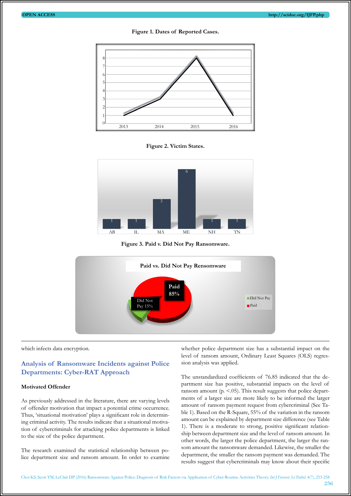



**Figure 2. Victim States.**



**Figure 3. Paid v. Did Not Pay Ransomware.**



which infects data encryption.

# **Analysis of Ransomware Incidents against Police Departments: Cyber-RAT Approach**

#### **Motivated Offender**

As previously addressed in the literature, there are varying levels of offender motivation that impact a potential crime occurrence. Thus, 'situational motivation' plays a significant role in determining criminal activity. The results indicate that a situational motivation of cybercriminals for attacking police departments is linked to the size of the police department.

The research examined the statistical relationship between police department size and ransom amount. In order to examine whether police department size has a substantial impact on the level of ransom amount, Ordinary Least Squares (OLS) regression analysis was applied.

The unstandardized coefficients of 76.85 indicated that the department size has positive, substantial impacts on the level of ransom amount ( $p \le 0.05$ ). This result suggests that police departments of a larger size are more likely to be informed the larger amount of ransom payment request from cybercriminal (See Table 1). Based on the R-Square, 55% of the variation in the ransom amount can be explained by department size difference (see Table 1). There is a moderate to strong, positive significant relationship between department size and the level of ransom amount. In other words, the larger the police department, the larger the ransom amount the ransomware demanded. Likewise, the smaller the department, the smaller the ransom payment was demanded. The results suggest that cybercriminals may know about their specific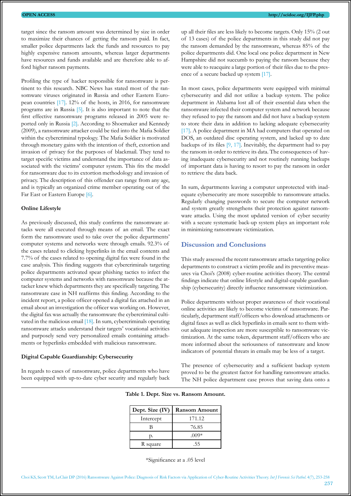target since the ransom amount was determined by size in order to maximize their chances of getting the ransom paid. In fact, smaller police departments lack the funds and resources to pay highly expensive ransom amounts, whereas larger departments have resources and funds available and are therefore able to afford higher ransom payments.

Profiling the type of hacker responsible for ransomware is pertinent to this research. NBC News has stated most of the ransomware viruses originated in Russia and other Eastern European countries [\[17\]](#page-6-16). 12% of the hosts, in 2016, for ransomware programs are in Russia [\[5\]](#page-6-4). It is also important to note that the first effective ransomware programs released in 2005 were reported only in Russia [\[2\]](#page-6-1). According to Shoemaker and Kennedy (2009), a ransomware attacker could be tied into the Mafia Soldier within the cybercriminal typology. The Mafia Soldier is motivated through monetary gains with the intention of theft, extortion and invasion of privacy for the purposes of blackmail. They tend to target specific victims and understand the importance of data associated with the victims' computer system. This fits the model for ransomware due to its extortion methodology and invasion of privacy. The description of this offender can range from any age, and is typically an organized crime member operating out of the Far East or Eastern Europe [\[6\]](#page-6-5).

#### **Online Lifestyle**

As previously discussed, this study confirms the ransomware attacks were all executed through means of an email. The exact form the ransomware used to take over the police departments' computer systems and networks were through emails. 92.3% of the cases related to clicking hyperlinks in the email contents and 7.7% of the cases related to opening digital fax were found in the case analysis. This finding suggests that cybercriminals targeting police departments activated spear phishing tactics to infect the computer systems and networks with ransomware because the attacker knew which departments they are specifically targeting. The ransomware case in NH reaffirms this finding. According to the incident report, a police officer opened a digital fax attached in an email about an investigation the officer was working on. However, the digital fax was actually the ransomware the cybercriminal cultivated in the malicious email [\[18\]](#page-6-17). In sum, cybercriminals operating ransomware attacks understand their targets' vocational activities and purposely send very personalized emails containing attachments or hyperlinks embedded with malicious ransomware.

#### **Digital Capable Guardianship: Cybersecurity**

In regards to cases of ransomware, police departments who have been equipped with up-to-date cyber security and regularly back up all their files are less likely to become targets. Only 15% (2 out of 13 cases) of the police departments in this study did not pay the ransom demanded by the ransomware, whereas 85% of the police departments did. One local one police department in New Hampshire did not succumb to paying the ransom because they were able to reacquire a large portion of their files due to the presence of a secure backed up system [\[17\].](#page-6-16)

In most cases, police departments were equipped with minimal cybersecurity and did not utilize a backup system. The police department in Alabama lost all of their essential data when the ransomware infected their computer system and network because they refused to pay the ransom and did not have a backup system to store their data in addition to lacking adequate cybersecurity [\[17\]](#page-6-16). A police department in MA had computers that operated on DOS, an outdated disc operating system, and lacked up to date backups of its files [\[9,](#page-6-8) [17\].](#page-6-16) Inevitably, the department had to pay the ransom in order to retrieve its data. The consequences of having inadequate cybersecurity and not routinely running backups of important data is having to resort to pay the ransom in order to retrieve the data back.

In sum, departments leaving a computer unprotected with inadequate cybersecurity are more susceptible to ransomware attacks. Regularly changing passwords to secure the computer network and system greatly strengthens their protection against ransomware attacks. Using the most updated version of cyber security with a secure systematic back-up system plays an important role in minimizing ransomware victimization.

#### **Discussion and Conclusions**

This study assessed the recent ransomware attacks targeting police departments to construct a victim profile and its preventive measures via Choi's (2008) cyber-routine activities theory. The central findings indicate that online lifestyle and digital-capable guardianship (cybersecurity) directly influence ransomware victimization.

Police departments without proper awareness of their vocational online activities are likely to become victims of ransomware. Particularly, department staff/officers who download attachments or digital faxes as well as click hyperlinks in emails sent to them without adequate inspection are more susceptible to ransomware victimization. At the same token, department staff/officers who are more informed about the seriousness of ransomware and know indicators of potential threats in emails may be less of a target.

The presence of cybersecurity and a sufficient backup system proved to be the greatest factor for handling ransomware attacks. The NH police department case proves that saving data onto a

| Dept. Size (IV) | <b>Ransom Amount</b> |
|-----------------|----------------------|
| Intercept       | 171.12               |
| В               | 76.85                |
| p.              | $(00)*$              |
| R square        | .55                  |

\*Significance at a .05 level